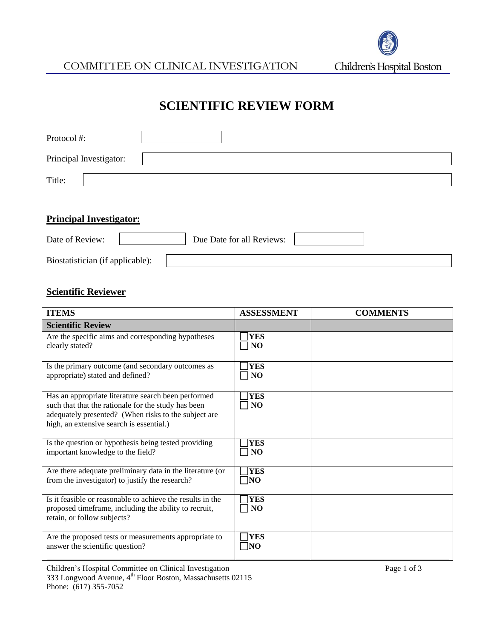

COMMITTEE ON CLINICAL INVESTIGATION

# **SCIENTIFIC REVIEW FORM**

| Protocol #:             |  |
|-------------------------|--|
| Principal Investigator: |  |
| Title:                  |  |

## **Principal Investigator:**

| Date of Review:                  | Due Date for all Reviews: |  |
|----------------------------------|---------------------------|--|
| Biostatistician (if applicable): |                           |  |

#### **Scientific Reviewer**

| <b>ITEMS</b>                                                                                                                                                                                                   | <b>ASSESSMENT</b>             | <b>COMMENTS</b> |
|----------------------------------------------------------------------------------------------------------------------------------------------------------------------------------------------------------------|-------------------------------|-----------------|
| <b>Scientific Review</b>                                                                                                                                                                                       |                               |                 |
| Are the specific aims and corresponding hypotheses<br>clearly stated?                                                                                                                                          | <b>TYES</b><br><b>NO</b>      |                 |
| Is the primary outcome (and secondary outcomes as<br>appropriate) stated and defined?                                                                                                                          | <b>TYES</b><br>N <sub>O</sub> |                 |
| Has an appropriate literature search been performed<br>such that that the rationale for the study has been<br>adequately presented? (When risks to the subject are<br>high, an extensive search is essential.) | <b>YES</b><br>$\neg$ NO       |                 |
| Is the question or hypothesis being tested providing<br>important knowledge to the field?                                                                                                                      | <b>YES</b><br> NO             |                 |
| Are there adequate preliminary data in the literature (or<br>from the investigator) to justify the research?                                                                                                   | $7$ YES<br>$\neg$ no          |                 |
| Is it feasible or reasonable to achieve the results in the<br>proposed timeframe, including the ability to recruit,<br>retain, or follow subjects?                                                             | <b>YES</b><br><b>NO</b>       |                 |
| Are the proposed tests or measurements appropriate to<br>answer the scientific question?                                                                                                                       | <b>YES</b><br><b>NO</b>       |                 |

Children's Hospital Committee on Clinical Investigation Page 1 of 3 333 Longwood Avenue, 4<sup>th</sup> Floor Boston, Massachusetts 02115 Phone: (617) 355-7052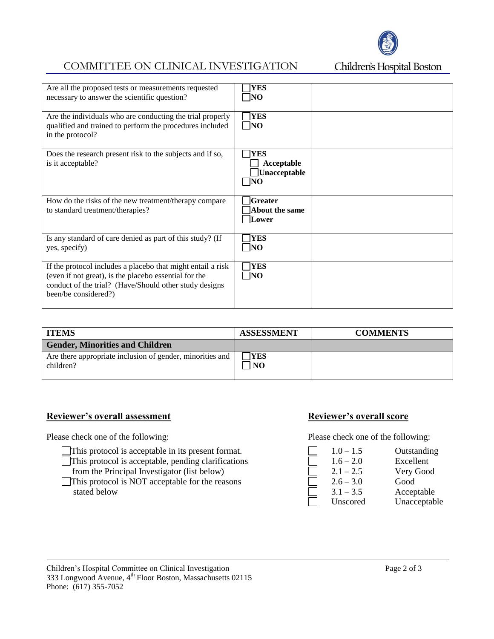

## COMMITTEE ON CLINICAL INVESTIGATION

Children's Hospital Boston

| Are all the proposed tests or measurements requested<br>necessary to answer the scientific question?                                                                                                   | <b>IYES</b><br>$\overline{N}$                                      |  |
|--------------------------------------------------------------------------------------------------------------------------------------------------------------------------------------------------------|--------------------------------------------------------------------|--|
| Are the individuals who are conducting the trial properly<br>qualified and trained to perform the procedures included<br>in the protocol?                                                              | <b>TYES</b><br>$\overline{NQ}$                                     |  |
| Does the research present risk to the subjects and if so,<br>is it acceptable?                                                                                                                         | <b>YES</b><br>Acceptable<br><b>Unacceptable</b><br>$\overline{NQ}$ |  |
| How do the risks of the new treatment/therapy compare<br>to standard treatment/therapies?                                                                                                              | <b>Greater</b><br>About the same<br>Lower                          |  |
| Is any standard of care denied as part of this study? (If<br>yes, specify)                                                                                                                             | <b>TYES</b><br>$\overline{NQ}$                                     |  |
| If the protocol includes a placebo that might entail a risk<br>(even if not great), is the placebo essential for the<br>conduct of the trial? (Have/Should other study designs<br>been/be considered?) | <b>TYES</b><br>$\neg$ no                                           |  |

| <b>TTEMS</b>                                                           | <b>ASSESSMENT</b>  | <b>COMMENTS</b> |
|------------------------------------------------------------------------|--------------------|-----------------|
| <b>Gender, Minorities and Children</b>                                 |                    |                 |
| Are there appropriate inclusion of gender, minorities and<br>children? | <b>TYES</b><br>NO. |                 |

#### **Reviewer's overall assessment Reviewer's overall score**

Please check one of the following: Please check one of the following:

- $\Box$ This protocol is acceptable in its present format.
- $\Box$ This protocol is acceptable, pending clarifications
	- from the Principal Investigator (list below)
- $\Box$ This protocol is NOT acceptable for the reasons stated below

| $1.0 - 1.5$ | Outstanding  |
|-------------|--------------|
| $1.6 - 2.0$ | Excellent    |
| $2.1 - 2.5$ | Very Good    |
| $2.6 - 3.0$ | Good         |
| $3.1 - 3.5$ | Acceptable   |
| Unscored    | Unacceptable |